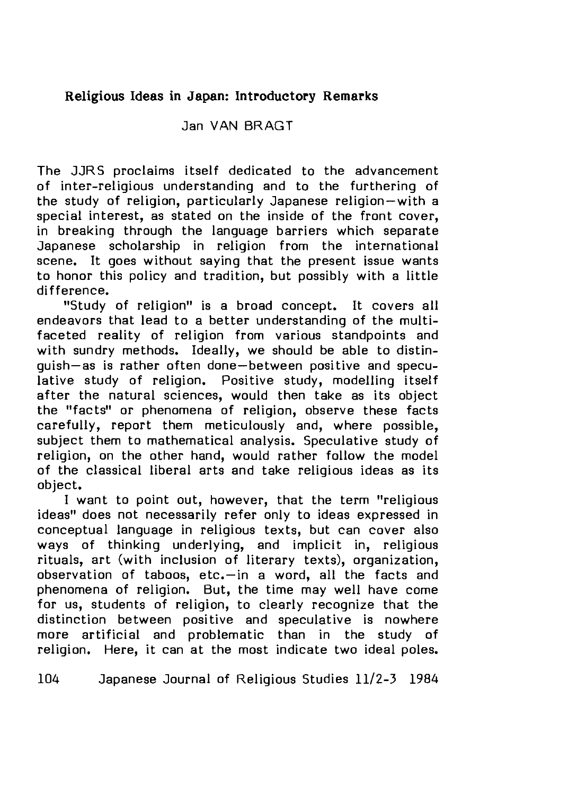## Religious Ideas in Japan: Introductory Remarks

## Jan VAN RAGT

The JJRS proclaims itself dedicated to the advancement of inter-religious understanding and to the furthering of the study of religion, particularly Japanese religion —with a special interest, as stated on the inside of the front cover. in breaking through the language barriers which separate Japanese scholarship in religion from the international scene. It goes without saying that the present issue wants to honor this policy and tradition, but possibly with a little difference.

"Study of religion" is a broad concept. It covers all endeavors that lead to a better understanding of the multifaceted reality of religion from various standpoints and with sundry methods. Ideally, we should be able to distinguish—as is rather often done—between positive and speculative study of religion. Positive study, modelling itself after the natural sciences, would then take as its object the "facts" or phenomena of religion, observe these facts carefully, report them meticulously and, where possible, subject them to mathematical analysis. Speculative study of religion, on the other hand, would rather follow the model of the classical liberal arts and take religious ideas as its object.

I want to point out, however, that the term "religious ideas" does not necessarily refer only to ideas expressed in conceptual language in religious texts, but can cover also ways of thinking underlying, and implicit in, religious rituals, art (with inclusion of literary texts), organization, observation of taboos,  $etc.-in$  a word, all the facts and phenomena of religion. But, the time may well have come for us, students of religion, to clearly recognize that the distinction between positive and speculative is nowhere more artificial and problematic than in the study of religion. Here, it can at the most indicate two ideal poles.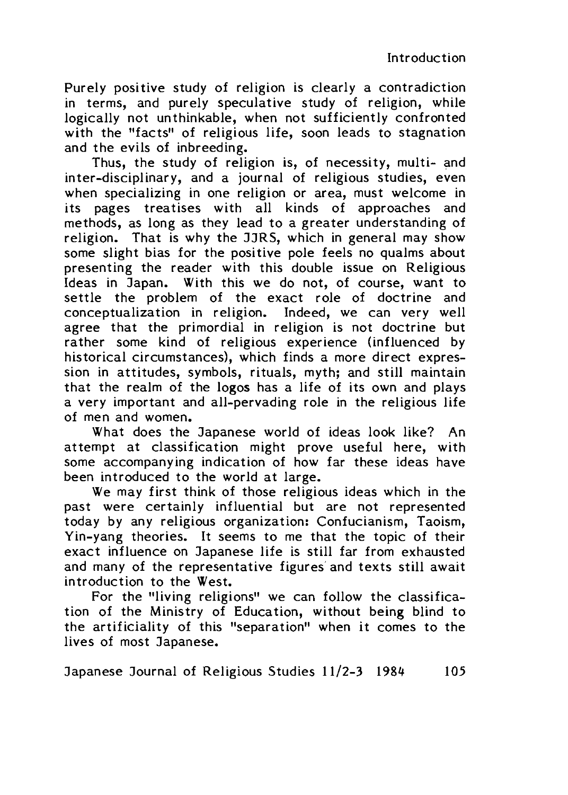Purely positive study of religion is clearly a contradiction in terms, and purely speculative study of religion, while logically not unthinkable, when not sufficiently confronted with the "facts" of religious life, soon leads to stagnation and the evils of inbreeding.

Thus, the study of religion is, of necessity, multi- and inter-disciplinary, and a journal of religious studies, even when specializing in one religion or area, must welcome in its pages treatises with all kinds of approaches and methods, as long as they lead to a greater understanding of religion. That is why the JJRS, which in general may show some slight bias for the positive pole feels no qualms about presenting the reader with this double issue on Religious Ideas in Japan. With this we do not, of course, want to settle the problem of the exact role of doctrine and conceptualization in religion. Indeed, we can very well agree that the primordial in religion is not doctrine but rather some kind of religious experience (influenced by historical circumstances), which finds a more direct expression in attitudes, symbols, rituals, myth; and still maintain that the realm of the logos has a life of its own and plays a very important and all-pervading role in the religious life of men and women.

What does the Japanese world of ideas look like? An attempt at classification might prove useful here, with some accompanying indication of how far these ideas have been introduced to the world at large.

We may first think of those religious ideas which in the past were certainly influential but are not represented today by any religious organization: Confucianism, Taoism, Yin-yang theories. It seems to me that the topic of their exact influence on Japanese life is still far from exhausted and many of the representative figures and texts still await introduction to the West.

For the "living religions" we can follow the classification of the Ministry of Education, without being blind to the artificiality of this "separation" when it comes to the lives of most Japanese,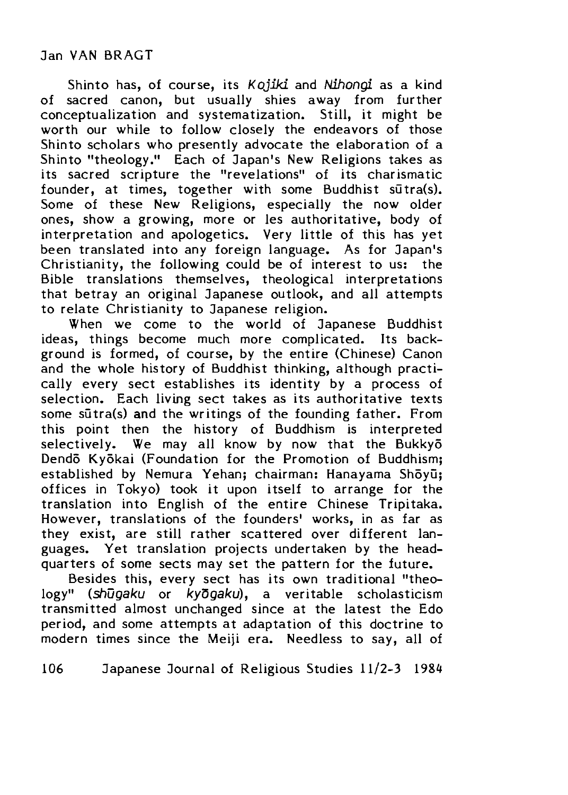Shinto has, of course, its *Kojiki* and *Nihongi* as a kind of sacred canon, but usually shies away from further conceptualization and systematization. Still, it might be worth our while to follow closely the endeavors of those Shinto scholars who presently advocate the elaboration of a Shinto "theology." Each of Japan's New Religions takes as its sacred scripture the "revelations" of its charismatic founder, at times, together with some Buddhist sutra(s). Some of these New Religions, especially the now older ones, show a growing, more or les authoritative, body of interpretation and apologetics. Very little of this has yet been translated into any foreign language. As for Japan's Christianity, the following could be of interest to us: the Bible translations themselves, theological interpretations that betray an original Japanese outlook, and all attempts to relate Christianity to Japanese religion.

When we come to the world of Japanese Buddhist ideas, things become much more complicated. Its background is formed, of course, by the entire (Chinese) Canon and the whole history of Buddhist thinking, although practically every sect establishes its identity by a process of selection. Each living sect takes as its authoritative texts some sutra(s) and the writings of the founding father. From this point then the history of Buddhism is interpreted selectively. We may all know by now that the Bukkyō Dend5 Ky5kai (Foundation for the Promotion of Buddhism; established by Nemura Yehan; chairman: Hanayama Shōyū; offices in Tokyo) took it upon itself to arrange for the translation into English of the entire Chinese Tripitaka. However, translations of the founders' works, in as far as they exist, are still rather scattered over different languages. Yet translation projects undertaken by the headquarters of some sects may set the pattern for the future.

Besides this, every sect has its own traditional "theology" *(shugaku* or *ky^gaku),* a veritable scholasticism transmitted almost unchanged since at the latest the Edo period, and some attempts at adaptation of this doctrine to modern times since the Meiji era. Needless to say, all of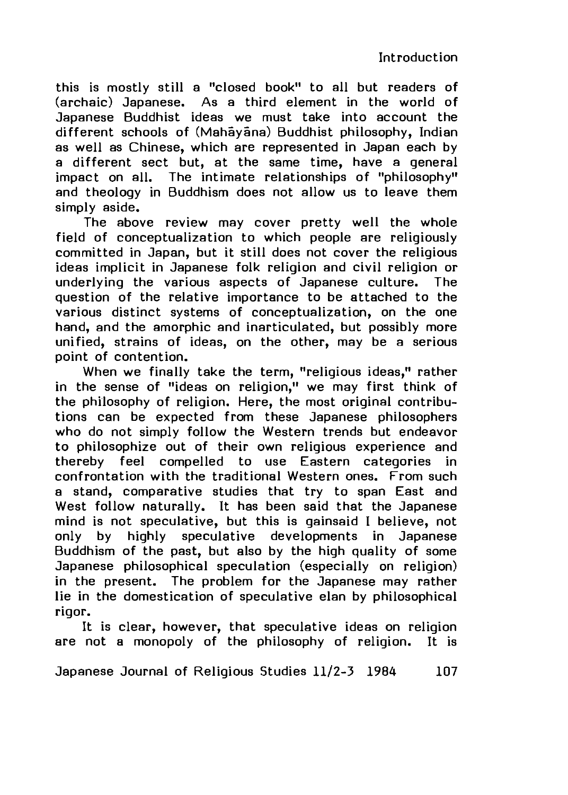this is mostly still a "closed book" to all but readers of (archaic) Japanese. As a third element in the world of Japanese Buddhist ideas we must take into account the different schools of (Mahayana) Buddhist philosophy, Indian as well as Chinese, which are represented in Japan each by a different sect but, at the same time, have a general impact on all. The intimate relationships of "philosophy" and theology in Buddhism does not allow us to leave them simply aside.

The above review may cover pretty well the whole field of conceptualization to which people are religiously committed in Japan, but it still does not cover the religious ideas implicit in Japanese folk religion and civil religion or underlying the various aspects of Japanese culture. The question of the relative importance to be attached to the various distinct systems of conceptualization, on the one hand, and the amorphic and inarticulated, but possibly more unified, strains of ideas, on the other, may be a serious point of contention.

When we finally take the term, "religious ideas," rather in the sense of "ideas on religion," we may first think of the philosophy of religion. Here, the most original contributions can be expected from these Japanese philosophers who do not simply follow the Western trends but endeavor to philosophize out of their own religious experience and thereby feel compelled to use Eastern categories in confrontation with the traditional Western ones. From such a stand, comparative studies that try to span East and West follow naturally. It has been said that the Japanese mind is not speculative, but this is gainsaid I believe, not only by highly speculative developments in Japanese Buddhism of the past, but also by the high quality of some Japanese philosophical speculation (especially on religion) in the present. The problem for the Japanese may rather lie in the domestication of speculative elan by philosophical rigor.

It is clear, however, that speculative ideas on religion are not a monopoly of the philosophy of religion. It is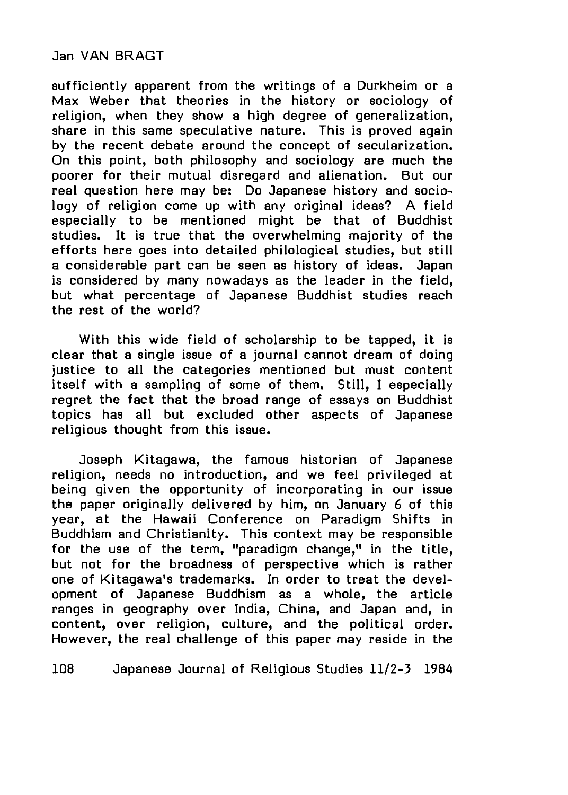## Jan VAN BRAGT

sufficiently apparent from the writings of a Durkheim or a Max Weber that theories in the history or sociology of religion, when they show a high degree of generalization, share in this same speculative nature. This is proved again by the recent debate around the concept of secularization. On this point, both philosophy and sociology are much the poorer for their mutual disregard and alienation. But our real question here may be: Do Japanese history and sociology of religion come up with any original ideas? A field especially to be mentioned might be that of Buddhist studies. It is true that the overwhelming majority of the efforts here goes into detailed philological studies, but still a considerable part can be seen as history of ideas. Japan is considered by many nowadays as the leader in the field, but what percentage of Japanese Buddhist studies reach the rest of the world?

With this wide field of scholarship to be tapped, it is clear that a single issue of a journal cannot dream of doing justice to all the categories mentioned but must content itself with a sampling of some of them. Still, I especially regret the fact that the broad range of essays on Buddhist topics has all but excluded other aspects of Japanese religious thought from this issue.

Joseph Kitagawa, the famous historian of Japanese religion, needs no introduction, and we feel privileged at being given the opportunity of incorporating in our issue the paper originally delivered by him, on January 6 of this year, at the Hawaii Conference on Paradigm Shifts in Buddhism and Christianity. This context may be responsible for the use of the term, "paradigm change," in the title, but not for the broadness of perspective which is rather one of Kitagawa!s trademarks. In order to treat the development of Japanese Buddhism as a whole, the article ranges in geography over India, China, and Japan and, in content, over religion, culture, and the political order. However, the real challenge of this paper may reside in the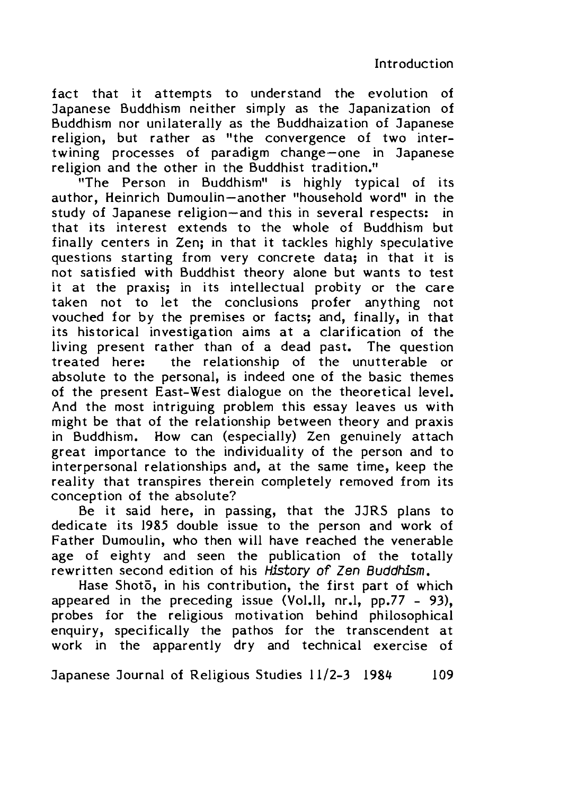fact that it attempts to understand the evolution of Japanese Buddhism neither simply as the Japanization of Buddhism nor unilaterally as the Buddhaization of Japanese religion, but rather as "the convergence of two intertwining processes of paradigm change—one in Japanese religion and the other in the Buddhist tradition."

"The Person in Buddhism1' is highly typical of its author, Heinrich Dumoulin—another "household word" in the study of Japanese religion—and this in several respects: in that its interest extends to the whole of Buddhism but finally centers in Zen; in that it tackles highly speculative questions starting from very concrete data; in that it is not satisfied with Buddhist theory alone but wants to test it at the praxis; in its intellectual probity or the care taken not to let the conclusions prefer anything not vouched for by the premises or facts; and, finally, in that its historical investigation aims at a clarification of the living present rather than of a dead past. The question treated here: the relationship of the unutterable or absolute to the personal, is indeed one of the basic themes of the present East-West dialogue on the theoretical level. And the most intriguing problem this essay leaves us with might be that of the relationship between theory and praxis in Buddhism. How can (especially) Zen genuinely attach great importance to the individuality of the person and to interpersonal relationships and, at the same time, keep the reality that transpires therein completely removed from its conception of the absolute?

Be it said here, in passing, that the 33R5 plans to dedicate its 1985 double issue to the person and work of Father Dumoulin, who then will have reached the venerable age of eighty and seen the publication of the totally rewritten second edition of his *History of Zen Buddhism*.

Hase Shotō, in his contribution, the first part of which appeared in the preceding issue (Vol.11,  $nr<sub>n</sub>$ , pp.77 - 93). probes for the religious motivation behind philosophical enquiry, specifically the pathos for the transcendent at work in the apparently dry and technical exercise of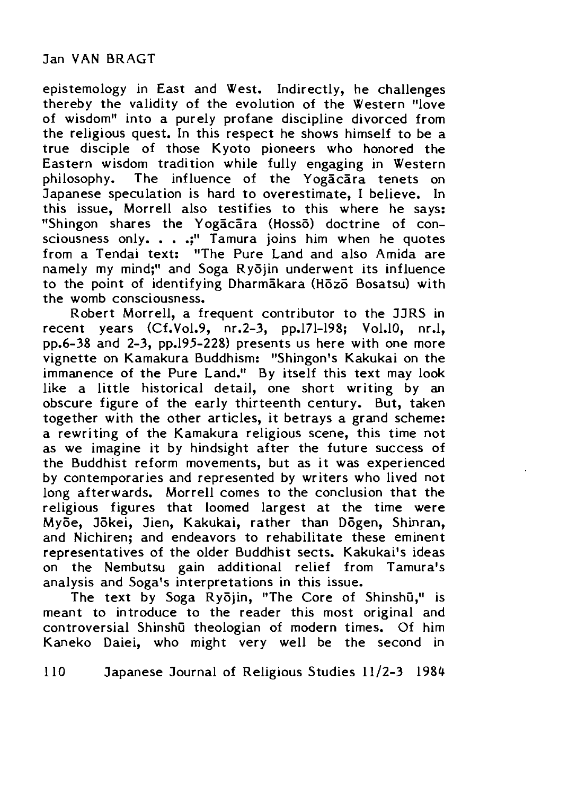epistemology in East and West. Indirectly, he challenges thereby the validity of the evolution of the Western "love of wisdom" into a purely profane discipline divorced from the religious quest. In this respect he shows himself to be a true disciple of those Kyoto pioneers who honored the Eastern wisdom tradition while fully engaging in Western philosophy. The influence of the Yogacara tenets on Japanese speculation is hard to overestimate, I believe. In this issue, Morrell also testifies to this where he says: "Shingon shares the Yogacara (Hosso) doctrine of consciousness only. . . .;" Tamura joins him when he quotes from a Tendai text: "The Pure Land and also Amida are namely my mind;" and Soga Ryōjin underwent its influence to the point of identifying Dharmakara (H5z5 Bosatsu) with the womb consciousness.

Robert Morrell, a frequent contributor to the JJRS in recent years (Cf.Vol.9, nr.2-3 pp.171-198; Vol.10, nr.l, pp.6-38 and 2-3, pp.195-228) presents us here with one more vignette on Kamakura Buddhism: "Shingon's Kakukai on the immanence of the Pure Land." By itself this text may look like a little historical detail, one short writing by an obscure figure of the early thirteenth century. But, taken together with the other articles, it betrays a grand scheme: a rewriting of the Kamakura religious scene, this time not as we imagine it by hindsight after the future success of the Buddhist reform movements, but as it was experienced by contemporaries and represented by writers who lived not long afterwards. Morrell comes to the conclusion that the religious figures that loomed largest at the time were Myōe, Jōkei, Jien, Kakukai, rather than Dōgen, Shinran, and Nichiren; and endeavors to rehabilitate these eminent representatives of the older Buddhist sects. Kakukai's ideas on the Nembutsu gain additional relief from Tamura's analysis and Soga's interpretations in this issue.

The text by Soga Ryōjin, "The Core of Shinshū," is meant to introduce to the reader this most original and controversial Shinshū theologian of modern times. Of him Kaneko Daiei, who might very well be the second in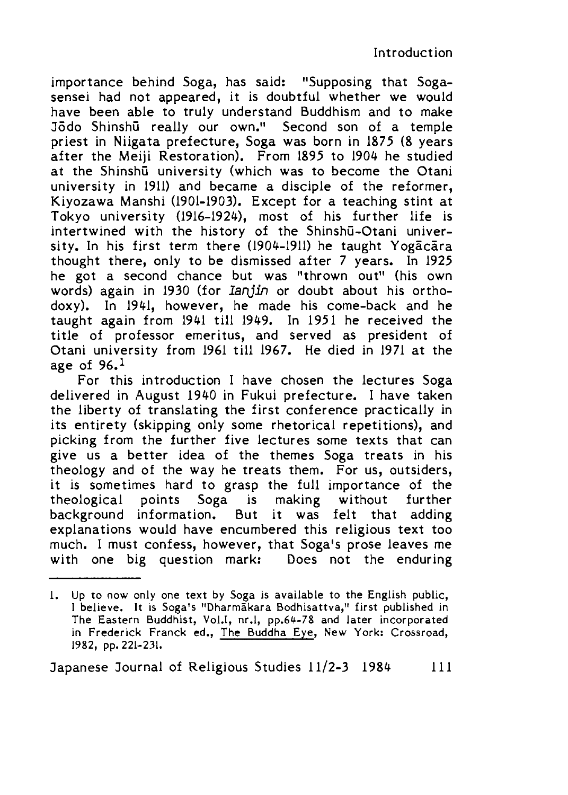importance behind Soga, has said: "Supposing that Sogasensei had not appeared, it is doubtful whether we would have been able to truly understand Buddhism and to make 35do Shinshu really our own." Second son of a temple priest in Niigata prefecture, Soga was born in 1875 (8 years after the Meiji Restoration). From 1895 to 1904 he studied at the Shinshu university (which was to become the Otani university in 1911) and became a disciple of the reformer, Kiyozawa Manshi (1901-1903). Except for a teaching stint at Tokyo university (1916-1924), most of his further life is intertwined with the history of the Shinshu-Otani university. In his first term there (1904-1911) he taught Yogacara thought there, only to be dismissed after 7 years. In 1925 he got a second chance but was "thrown out" (his own words) again in 1930 (for *Ianjin* or doubt about his orthodoxy). In 1941, however, he made his come-back and he taught again from 1941 till 1949. In 1951 he received the title of professor emeritus, and served as president of Otani university from 1961 till 1967. He died in 1971 at the age of  $96.1$ 

For this introduction I have chosen the lectures Soga delivered in August 1940 in Fukui prefecture. I have taken the liberty of translating the first conference practically in its entirety (skipping only some rhetorical repetitions), and picking from the further five lectures some texts that can give us a better idea of the themes Soga treats in his theology and of the way he treats them. For us, outsiders, it is sometimes hard to grasp the full importance of the theological points Soga is making without further background information. But it was felt that adding explanations would have encumbered this religious text too much. I must confess, however, that Soga's prose leaves me with one big question mark: Does not the enduring

<sup>1.</sup> Up to now only one text by Soga is available to the English public, I believe. It is Soga's "Dharmakara Bodhisattva," first published in The Eastern Buddhist, Vol.I, nr.l, pp.64-78 and later incorporated in Frederick Franck ed., The Buddha Eye, New York: Crossroad, 1982, pp. 221-231.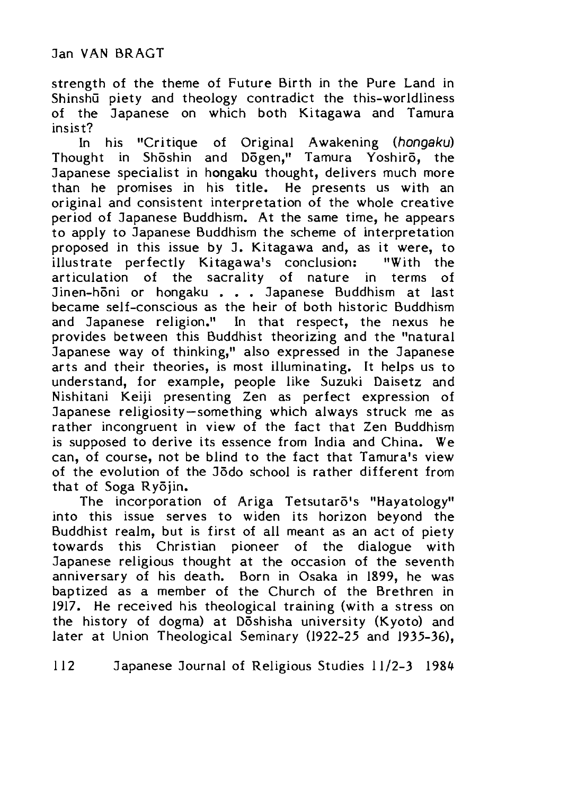strength of the theme of Future Birth in the Pure Land in Shinshu piety and theology contradict the this-worldliness of the Japanese on which both Kitagawa and Tamura insist?

In his "Critique of Original Awakening *(hongaku)* Thought in Shōshin and Dōgen," Tamura Yoshirō, the Japanese specialist in hongaku thought, delivers much more than he promises in his title. He presents us with an original and consistent interpretation of the whole creative period of Japanese Buddhism. At the same time, he appears to apply to Japanese Buddhism the scheme of interpretation proposed in this issue by 3, Kitagawa and, as it were, to illustrate perfectly Kitagawa's conclusion: "With the articulation of the sacrality of nature in terms of 3inen-h5ni or hongaku . . . Japanese Buddhism at last became self-conscious as the heir of both historic Buddhism and Japanese religion." In that respect, the nexus he provides between this Buddhist theorizing and the "natural Japanese way of thinking," also expressed in the Japanese arts and their theories, is most illuminating. It helps us to understand, for example, people like Suzuki Daisetz and Nishitani Keiji presenting Zen as perfect expression of Japanese religiosity—something which always struck me as rather incongruent in view of the fact that Zen Buddhism is supposed to derive its essence from India and China, We can, of course, not be blind to the fact that Tamura's view of the evolution of the Jōdo school is rather different from that of Soga Ry5jin.

The incorporation of Ariga Tetsutaro's "Hayatology" into this issue serves to widen its horizon beyond the Buddhist realm, but is first of all meant as an act of piety towards this Christian pioneer of the dialogue with Japanese religious thought at the occasion of the seventh anniversary of his death. Born in Osaka in 1899, he was baptized as a member of the Church of the Brethren in 1917. He received his theological training (with a stress on the history of dogma) at Doshisha university (Kyoto) and later at Union Theological Seminary (1922-25 and 1935-36),